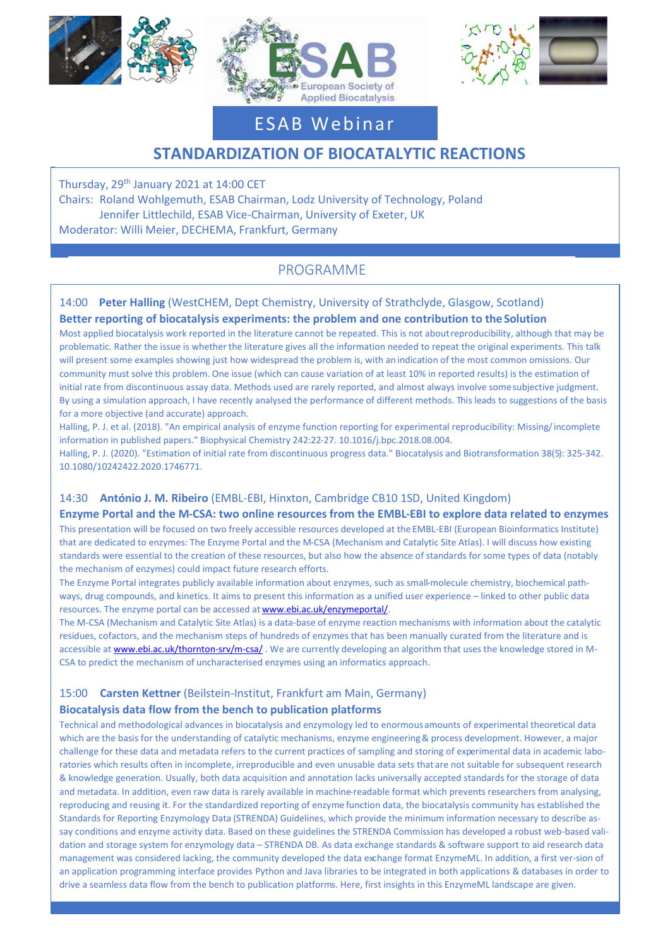





# ESAB Webinar

# **STANDARDIZATION OF BIOCATALYTIC REACTIONS**

Thursday, 29th January 2021 at 14:00 CET Chairs: Roland Wohlgemuth, ESAB Chairman, Lodz University of Technology, Poland Jennifer Littlechild, ESAB Vice-Chairman, University of Exeter, UK Moderator: Willi Meier, DECHEMA, Frankfurt, Germany

# PROGRAMME

# 14:00 **Peter Halling** (WestCHEM, Dept Chemistry, University of Strathclyde, Glasgow, Scotland) **Better reporting of biocatalysis experiments: the problem and one contribution to theSolution**

Most applied biocatalysis work reported in the literature cannot be repeated. This is not aboutreproducibility, although that may be problematic. Rather the issue is whether the literature gives all the information needed to repeat the original experiments. This talk will present some examples showing just how widespread the problem is, with an indication of the most common omissions. Our community must solve this problem. One issue (which can cause variation of at least 10% in reported results) is the estimation of initial rate from discontinuous assay data. Methods used are rarely reported, and almost always involve somesubjective judgment. By using a simulation approach, I have recently analysed the performance of different methods. This leads to suggestions of the basis for a more objective (and accurate) approach.

Halling, P. J. et al. (2018). "An empirical analysis of enzyme function reporting for experimental reproducibility: Missing/ incomplete information in published papers." Biophysical Chemistry 242:22-27. 10.1016/j.bpc.2018.08.004.

Halling, P. J. (2020). "Estimation of initial rate from discontinuous progress data." Biocatalysis and Biotransformation 38(5): 325-342. 10.1080/10242422.2020.1746771.

## 14:30 **António J. M. Ribeiro** (EMBL-EBI, Hinxton, Cambridge CB10 1SD, United Kingdom)

### **Enzyme Portal and the M-CSA: two online resources from the EMBL-EBI to explore data related to enzymes**

This presentation will be focused on two freely accessible resources developed at the EMBL-EBI (European Bioinformatics Institute) that are dedicated to enzymes: The Enzyme Portal and the M-CSA (Mechanism and Catalytic Site Atlas). I will discuss how existing standards were essential to the creation of these resources, but also how the absence of standards for some types of data (notably the mechanism of enzymes) could impact future research efforts.

The Enzyme Portal integrates publicly available information about enzymes, such as small-molecule chemistry, biochemical pathways, drug compounds, and kinetics. It aims to present this information as a unified user experience – linked to other public data resources. The enzyme portal can be accessed a[t www.ebi.ac.uk/enzymeportal/.](http://www.ebi.ac.uk/enzymeportal/)

The M-CSA (Mechanism and Catalytic Site Atlas) is a data-base of enzyme reaction mechanisms with information about the catalytic residues, cofactors, and the mechanism steps of hundreds of enzymes that has been manually curated from the literature and is accessible at [www.ebi.ac.uk/thornton-srv/m-csa/](http://www.ebi.ac.uk/thornton-srv/m-csa/). We are currently developing an algorithm that uses the knowledge stored in M-CSA to predict the mechanism of uncharacterised enzymes using an informatics approach.

### 15:00 **Carsten Kettner** (Beilstein-Institut, Frankfurt am Main, Germany)

### **Biocatalysis data flow from the bench to publication platforms**

Technical and methodological advances in biocatalysis and enzymology led to enormousamounts of experimental theoretical data which are the basis for the understanding of catalytic mechanisms, enzyme engineering & process development. However, a major challenge for these data and metadata refers to the current practices of sampling and storing of experimental data in academic laboratories which results often in incomplete, irreproducible and even unusable data sets that are not suitable for subsequent research & knowledge generation. Usually, both data acquisition and annotation lacks universally accepted standards for the storage of data and metadata. In addition, even raw data is rarely available in machine-readable format which prevents researchers from analysing, reproducing and reusing it. For the standardized reporting of enzyme function data, the biocatalysis community has established the Standards for Reporting Enzymology Data (STRENDA) Guidelines, which provide the minimum information necessary to describe assay conditions and enzyme activity data. Based on these guidelines the STRENDA Commission has developed a robust web-based validation and storage system for enzymology data – STRENDA DB. As data exchange standards & software support to aid research data management was considered lacking, the community developed the data exchange format EnzymeML. In addition, a first ver-sion of an application programming interface provides Python and Java libraries to be integrated in both applications & databases in order to drive a seamless data flow from the bench to publication platforms. Here, first insights in this EnzymeML landscape are given.